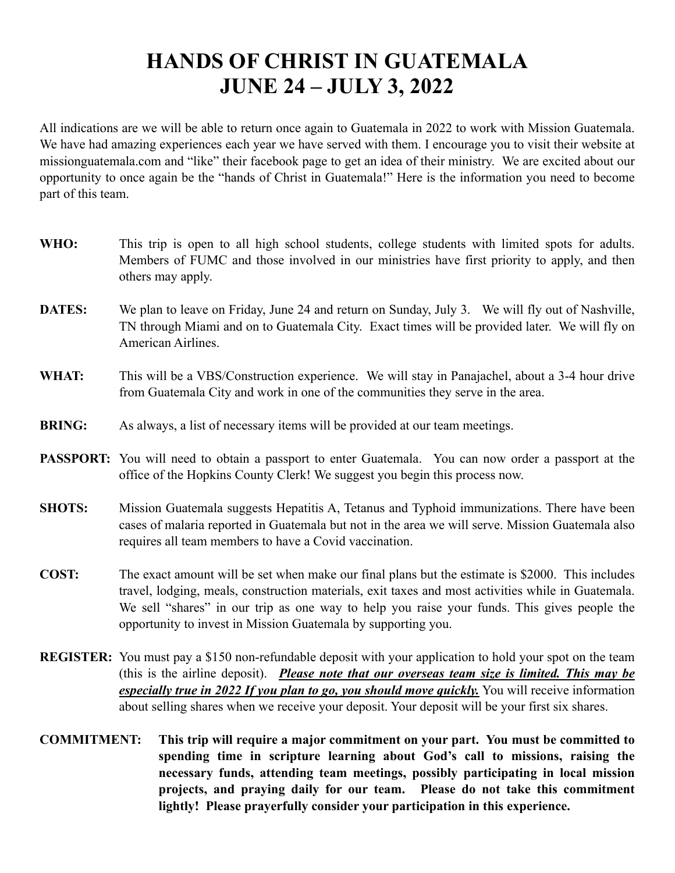## **HANDS OF CHRIST IN GUATEMALA JUNE 24 – JULY 3, 2022**

All indications are we will be able to return once again to Guatemala in 2022 to work with Mission Guatemala. We have had amazing experiences each year we have served with them. I encourage you to visit their website at missionguatemala.com and "like" their facebook page to get an idea of their ministry. We are excited about our opportunity to once again be the "hands of Christ in Guatemala!" Here is the information you need to become part of this team.

- **WHO:** This trip is open to all high school students, college students with limited spots for adults. Members of FUMC and those involved in our ministries have first priority to apply, and then others may apply.
- **DATES:** We plan to leave on Friday, June 24 and return on Sunday, July 3. We will fly out of Nashville, TN through Miami and on to Guatemala City. Exact times will be provided later. We will fly on American Airlines.
- **WHAT:** This will be a VBS/Construction experience. We will stay in Panajachel, about a 3-4 hour drive from Guatemala City and work in one of the communities they serve in the area.
- **BRING:** As always, a list of necessary items will be provided at our team meetings.
- **PASSPORT:** You will need to obtain a passport to enter Guatemala. You can now order a passport at the office of the Hopkins County Clerk! We suggest you begin this process now.
- **SHOTS:** Mission Guatemala suggests Hepatitis A, Tetanus and Typhoid immunizations. There have been cases of malaria reported in Guatemala but not in the area we will serve. Mission Guatemala also requires all team members to have a Covid vaccination.
- **COST:** The exact amount will be set when make our final plans but the estimate is \$2000. This includes travel, lodging, meals, construction materials, exit taxes and most activities while in Guatemala. We sell "shares" in our trip as one way to help you raise your funds. This gives people the opportunity to invest in Mission Guatemala by supporting you.
- **REGISTER:** You must pay a \$150 non-refundable deposit with your application to hold your spot on the team (this is the airline deposit). *Please note that our overseas team size is limited. This may be especially true in 2022 If you plan to go, you should move quickly.* You will receive information about selling shares when we receive your deposit. Your deposit will be your first six shares.
- **COMMITMENT: This trip will require a major commitment on your part. You must be committed to spending time in scripture learning about God's call to missions, raising the necessary funds, attending team meetings, possibly participating in local mission projects, and praying daily for our team. Please do not take this commitment lightly! Please prayerfully consider your participation in this experience.**